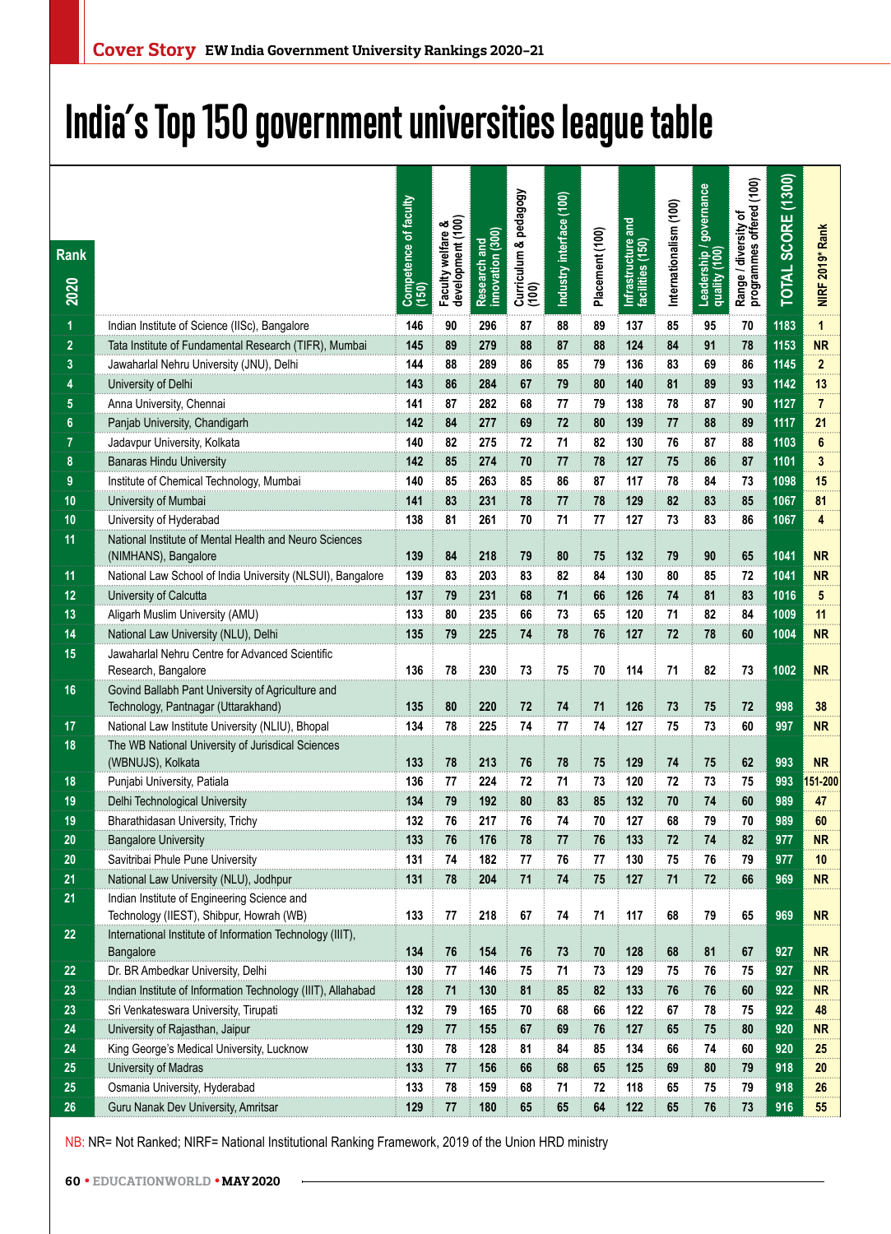## **India's Top 150 government universities league table**

| Rank<br>2020   |                                                                                          | Competence of faculty<br>(150) | Faculty welfare &<br>development (100) | Research and<br>innovation (300) | Curriculum & pedagogy<br>(100) | Industry interface (100) | Placement (100) | gue<br>Infrastructure<br>facilities (150) | Internationalism (100) | Leadership / governance<br>quality (100) | Range / diversity of<br>programmes offered (100) | TOTAL SCORE (1300) | NIRF 2019* Rank |
|----------------|------------------------------------------------------------------------------------------|--------------------------------|----------------------------------------|----------------------------------|--------------------------------|--------------------------|-----------------|-------------------------------------------|------------------------|------------------------------------------|--------------------------------------------------|--------------------|-----------------|
| 1              | Indian Institute of Science (IISc), Bangalore                                            | 146                            | 90                                     | 296                              | 87                             | 88                       | 89              | 137                                       | 85                     | 95                                       | 70                                               | 1183               | 1               |
| $\overline{2}$ | Tata Institute of Fundamental Research (TIFR), Mumbai                                    | 145                            | 89                                     | 279                              | 88                             | 87                       | 88              | 124                                       | 84                     | 91                                       | 78                                               | 1153               | <b>NR</b>       |
| 3              | Jawaharlal Nehru University (JNU), Delhi                                                 | 144                            | 88                                     | 289                              | 86                             | 85                       | 79              | 136                                       | 83                     | 69                                       | 86                                               | 1145               | $\overline{2}$  |
| 4              | University of Delhi                                                                      | 143                            | 86                                     | 284                              | 67                             | 79                       | 80              | 140                                       | 81                     | 89                                       | 93                                               | 1142               | 13              |
| 5              | Anna University, Chennai                                                                 | 141                            | 87                                     | 282                              | 68                             | 77                       | 79              | 138                                       | 78                     | 87                                       | 90                                               | 1127               | $\overline{7}$  |
| 6              | Panjab University, Chandigarh                                                            | 142                            | 84                                     | 277                              | 69                             | 72                       | 80              | 139                                       | 77                     | 88                                       | 89                                               | 1117               | 21              |
| 7              | Jadavpur University, Kolkata                                                             | 140                            | 82                                     | 275                              | 72                             | 71                       | 82              | 130                                       | 76                     | 87                                       | 88                                               | 1103               | 6               |
| 8              | <b>Banaras Hindu University</b>                                                          | 142                            | 85                                     | 274                              | 70                             | 77                       | 78              | 127                                       | 75                     | 86                                       | 87                                               | 1101               | 3               |
| 9              | Institute of Chemical Technology, Mumbai                                                 | 140                            | 85                                     | 263                              | 85                             | 86                       | 87              | 117                                       | 78                     | 84                                       | 73                                               | 1098               | 15              |
| 10             | University of Mumbai                                                                     | 141                            | 83                                     | 231                              | 78                             | 77                       | 78              | 129                                       | 82                     | 83                                       | 85                                               | 1067               | 81              |
| 10             | University of Hyderabad                                                                  | 138                            | 81                                     | 261                              | 70                             | 71                       | 77              | 127                                       | 73                     | 83                                       | 86                                               | 1067               | 4               |
| 11             | National Institute of Mental Health and Neuro Sciences<br>(NIMHANS), Bangalore           | 139                            | 84                                     | 218                              | 79                             | 80                       | 75              | 132                                       | 79                     | 90                                       | 65                                               | 1041               | <b>NR</b>       |
| 11             | National Law School of India University (NLSUI), Bangalore                               | 139                            | 83                                     | 203                              | 83                             | 82                       | 84              | 130                                       | 80                     | 85                                       | 72                                               | 1041               | <b>NR</b>       |
| 12             | University of Calcutta                                                                   | 137                            | 79                                     | 231                              | 68                             | 71                       | 66              | 126                                       | 74                     | 81                                       | 83                                               | 1016               | 5               |
| 13             | Aligarh Muslim University (AMU)                                                          | 133                            | 80                                     | 235                              | 66                             | 73                       | 65              | 120                                       | 71                     | 82                                       | 84                                               | 1009               | 11              |
| 14             | National Law University (NLU), Delhi                                                     | 135                            | 79                                     | 225                              | 74                             | 78                       | 76              | 127                                       | 72                     | 78                                       | 60                                               | 1004               | <b>NR</b>       |
| 15             | Jawaharlal Nehru Centre for Advanced Scientific<br>Research, Bangalore                   | 136                            | 78                                     | 230                              | 73                             | 75                       | 70              | 114                                       | 71                     | 82                                       | 73                                               | 1002               | <b>NR</b>       |
| 16             | Govind Ballabh Pant University of Agriculture and<br>Technology, Pantnagar (Uttarakhand) | 135                            | 80                                     | 220                              | 72                             | 74                       | 71              | 126                                       | 73                     | 75                                       | 72                                               | 998                | 38              |
| 17             | National Law Institute University (NLIU), Bhopal                                         | 134                            | 78                                     | 225                              | 74                             | 77                       | 74              | 127                                       | 75                     | 73                                       | 60                                               | 997                | NR              |
| 18             | The WB National University of Jurisdical Sciences<br>(WBNUJS), Kolkata                   | 133                            | 78                                     | 213                              | 76                             | 78                       | 75              | 129                                       | 74                     | 75                                       | 62                                               | 993                | <b>NR</b>       |
| 18             | Punjabi University, Patiala                                                              | 136                            | 77                                     | 224                              | 72                             | 71                       | 73              | 120                                       | 72                     | 73                                       | 75                                               | 993                | 151-200         |
| 19             | Delhi Technological University                                                           | 134                            | 79                                     | 192                              | 80                             | 83                       | 85              | 132                                       | 70                     | 74                                       | 60                                               | 989                | 47              |
| 19             | Bharathidasan University, Trichy                                                         | 132                            | 76                                     | 217                              | 76                             | 74                       | 70              | 127                                       | 68                     | 79                                       | 70                                               | 989                | 60              |
| 20             | <b>Bangalore University</b>                                                              | 133                            | 76                                     | 176                              | 78                             | 77                       | 76              | 133                                       | 72                     | 74                                       | 82                                               | 977                | <b>NR</b>       |
| 20             | Savitribai Phule Pune University                                                         | 131                            | 74                                     | 182                              | 77                             | 76                       | 77              | 130                                       | 75                     | 76                                       | 79                                               | 977                | 10              |
| 21             | National Law University (NLU), Jodhpur                                                   | 131                            | 78                                     | 204                              | 71                             | 74                       | 75              | 127                                       | 71                     | 72                                       | 66                                               | 969                | NR.             |
| 21             | Indian Institute of Engineering Science and<br>Technology (IIEST), Shibpur, Howrah (WB)  | 133                            | 77                                     | 218                              | 67                             | 74                       | 71              | 117                                       | 68                     | 79                                       | 65                                               | 969                | <b>NR</b>       |
| 22             | International Institute of Information Technology (IIIT),<br>Bangalore                   | 134                            | 76                                     | 154                              | 76                             | 73                       | 70              | 128                                       | 68                     | 81                                       | 67                                               | 927                | <b>NR</b>       |
| 22             | Dr. BR Ambedkar University, Delhi                                                        | 130                            | 77                                     | 146                              | 75                             | 71                       | 73              | 129                                       | 75                     | 76                                       | 75                                               | 927                | <b>NR</b>       |
| 23             | Indian Institute of Information Technology (IIIT), Allahabad                             | 128                            | 71                                     | 130                              | 81                             | 85                       | 82              | 133                                       | 76                     | 76                                       | 60                                               | 922                | <b>NR</b>       |
| 23             | Sri Venkateswara University, Tirupati                                                    | 132                            | 79                                     | 165                              | 70                             | 68                       | 66              | 122                                       | 67                     | 78                                       | 75                                               | 922                | 48              |
| 24             | University of Rajasthan, Jaipur                                                          | 129                            | 77                                     | 155                              | 67                             | 69                       | 76              | 127                                       | 65                     | 75                                       | 80                                               | 920                | NR              |
| 24             | King George's Medical University, Lucknow                                                | 130                            | 78                                     | 128                              | 81                             | 84                       | 85              | 134                                       | 66                     | 74                                       | 60                                               | 920                | 25              |
| 25             | University of Madras                                                                     | 133                            | 77                                     | 156                              | 66                             | 68                       | 65              | 125                                       | 69                     | 80                                       | 79                                               | 918                | 20              |
| 25             | Osmania University, Hyderabad                                                            | 133                            | 78                                     | 159                              | 68                             | 71                       | 72              | 118                                       | 65                     | 75                                       | 79                                               | 918                | 26              |
| 26             | Guru Nanak Dev University, Amritsar                                                      | 129                            | 77                                     | 180                              | 65                             | 65                       | 64              | 122                                       | 65                     | 76                                       | 73                                               | 916                | 55              |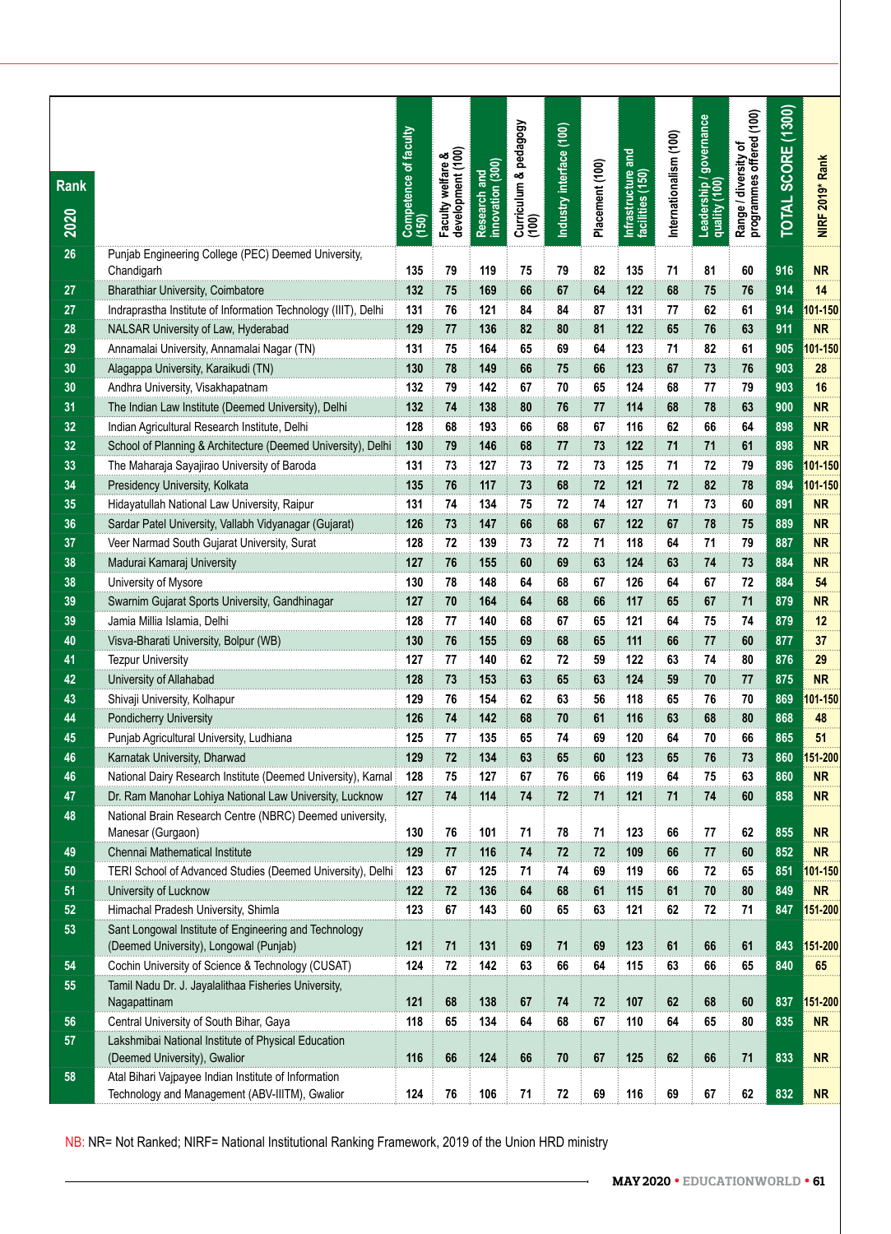| <b>Rank</b><br>2020 |                                                                                                        | Competence of faculty<br>(150) | Faculty welfare &<br>development (100) | innovation (300)<br>Research and | Curriculum & pedagogy<br>(100) | Industry interface (100) | Placement (100) | Infrastructure and<br>facilities (150) | Internationalism (100) | Leadership / governance<br>quality (100) | Range / diversity of<br>programmes offered (100) | TOTAL SCORE (1300) | NIRF 2019* Rank |
|---------------------|--------------------------------------------------------------------------------------------------------|--------------------------------|----------------------------------------|----------------------------------|--------------------------------|--------------------------|-----------------|----------------------------------------|------------------------|------------------------------------------|--------------------------------------------------|--------------------|-----------------|
| 26                  | Punjab Engineering College (PEC) Deemed University,<br>Chandigarh                                      | 135                            | 79                                     | 119                              | 75                             | 79                       | 82              | 135                                    | 71                     | 81                                       | 60                                               | 916                | <b>NR</b>       |
| 27                  | <b>Bharathiar University, Coimbatore</b>                                                               | 132                            | 75                                     | 169                              | 66                             | 67                       | 64              | 122                                    | 68                     | 75                                       | 76                                               | 914                | 14              |
| 27                  | Indraprastha Institute of Information Technology (IIIT), Delhi                                         | 131                            | 76                                     | 121                              | 84                             | 84                       | 87              | 131                                    | 77                     | 62                                       | 61                                               | 914                | $101 - 150$     |
| 28                  | NALSAR University of Law, Hyderabad                                                                    | 129                            | 77                                     | 136                              | 82                             | 80                       | 81              | 122                                    | 65                     | 76                                       | 63                                               | 911                | <b>NR</b>       |
| 29                  | Annamalai University, Annamalai Nagar (TN)                                                             | 131                            | 75                                     | 164                              | 65                             | 69                       | 64              | 123                                    | 71                     | 82                                       | 61                                               | 905                | 101-150         |
| 30                  | Alagappa University, Karaikudi (TN)                                                                    | 130                            | 78                                     | 149                              | 66                             | 75                       | 66              | 123                                    | 67                     | 73                                       | 76                                               | 903                | 28              |
| 30                  | Andhra University, Visakhapatnam                                                                       | 132                            | 79                                     | 142                              | 67                             | 70                       | 65              | 124                                    | 68                     | 77                                       | 79                                               | 903                | 16              |
| 31                  | The Indian Law Institute (Deemed University), Delhi                                                    | 132                            | 74                                     | 138                              | 80                             | 76                       | 77              | 114                                    | 68                     | 78                                       | 63                                               | 900                | <b>NR</b>       |
| 32                  | Indian Agricultural Research Institute, Delhi                                                          | 128                            | 68                                     | 193                              | 66                             | 68                       | 67              | 116                                    | 62                     | 66                                       | 64                                               | 898                | <b>NR</b>       |
| 32                  | School of Planning & Architecture (Deemed University), Delhi                                           | 130                            | 79                                     | 146                              | 68                             | 77                       | 73              | 122                                    | 71                     | 71                                       | 61                                               | 898                | <b>NR</b>       |
| 33                  | The Maharaja Sayajirao University of Baroda                                                            | 131                            | 73                                     | 127                              | 73                             | 72                       | 73              | 125                                    | 71                     | 72                                       | 79                                               | 896                | 01-150          |
| 34                  | Presidency University, Kolkata                                                                         | 135                            | 76                                     | 117                              | 73                             | 68                       | 72              | 121                                    | 72                     | 82                                       | 78                                               | 894                | 101-150         |
| 35                  | Hidayatullah National Law University, Raipur                                                           | 131                            | 74                                     | 134                              | 75                             | 72                       | 74              | 127                                    | 71                     | 73                                       | 60                                               | 891                | <b>NR</b>       |
| 36                  | Sardar Patel University, Vallabh Vidyanagar (Gujarat)                                                  | 126                            | 73                                     | 147                              | 66                             | 68                       | 67              | 122                                    | 67                     | 78                                       | 75                                               | 889                | <b>NR</b>       |
| 37                  | Veer Narmad South Gujarat University, Surat                                                            | 128                            | 72                                     | 139                              | 73                             | 72                       | 71              | 118                                    | 64                     | 71                                       | 79                                               | 887                | <b>NR</b>       |
| 38                  | Madurai Kamaraj University                                                                             | 127                            | 76                                     | 155                              | 60                             | 69                       | 63              | 124                                    | 63                     | 74                                       | 73                                               | 884                | <b>NR</b>       |
| 38                  | University of Mysore                                                                                   | 130                            | 78                                     | 148                              | 64                             | 68                       | 67              | 126                                    | 64                     | 67                                       | 72                                               | 884                | 54              |
| 39                  | Swarnim Gujarat Sports University, Gandhinagar                                                         | 127                            | 70                                     | 164                              | 64                             | 68                       | 66              | 117                                    | 65                     | 67                                       | 71                                               | 879                | <b>NR</b>       |
| 39                  | Jamia Millia Islamia, Delhi                                                                            | 128                            | 77                                     | 140                              | 68                             | 67                       | 65              | 121                                    | 64                     | 75                                       | 74                                               | 879                | 12              |
| 40                  | Visva-Bharati University, Bolpur (WB)                                                                  | 130                            | 76                                     | 155                              | 69                             | 68                       | 65              | 111                                    | 66                     | 77                                       | 60                                               | 877                | 37              |
| 41                  | <b>Tezpur University</b>                                                                               | 127                            | 77                                     | 140                              | 62                             | 72                       | 59              | 122                                    | 63                     | 74                                       | 80                                               | 876                | 29              |
| 42                  | University of Allahabad                                                                                | 128                            | 73                                     | 153                              | 63                             | 65                       | 63              | 124                                    | 59                     | 70                                       | 77                                               | 875                | <b>NR</b>       |
| 43                  | Shivaji University, Kolhapur                                                                           | 129                            | 76                                     | 154                              | 62                             | 63                       | 56              | 118                                    | 65                     | 76                                       | 70                                               | 869                | $01 - 150$      |
| 44                  | Pondicherry University                                                                                 | 126                            | 74                                     | 142                              | 68                             | 70                       | 61              | 116                                    | 63                     | 68                                       | 80                                               | 868                | 48              |
| 45                  | Punjab Agricultural University, Ludhiana                                                               | 125                            | 77                                     | 135                              | 65                             | 74                       | 69              | 120                                    | 64                     | 70                                       | 66                                               | 865                | 51              |
| 46                  | Karnatak University, Dharwad                                                                           | 129                            | 72                                     | 134                              | 63                             | 65                       | 60              | 123                                    | 65                     | 76                                       | 73                                               | 860                | 51-200          |
| 46                  | National Dairy Research Institute (Deemed University), Karnal                                          | 128                            | 75                                     | 127                              | 67                             | 76                       | 66              | 119                                    | 64                     | 75                                       | 63                                               | 860                | <b>NR</b>       |
| 47                  | Dr. Ram Manohar Lohiya National Law University, Lucknow                                                | 127                            | 74                                     | 114                              | 74                             | 72                       | 71              | 121                                    | 71                     | 74                                       | 60                                               | 858                | <b>NR</b>       |
| 48                  | National Brain Research Centre (NBRC) Deemed university,                                               |                                |                                        |                                  |                                |                          |                 |                                        |                        |                                          |                                                  |                    |                 |
|                     | Manesar (Gurgaon)                                                                                      | 130                            | 76                                     | 101                              | 71                             | 78                       | 71              | 123                                    | 66                     | 77                                       | 62                                               | 855                | <b>NR</b>       |
| 49                  | Chennai Mathematical Institute                                                                         | 129                            | 77                                     | 116                              | 74                             | 72                       | 72              | 109                                    | 66                     | 77                                       | 60                                               | 852                | <b>NR</b>       |
| 50                  | TERI School of Advanced Studies (Deemed University), Delhi                                             | 123                            | 67                                     | 125                              | 71                             | 74                       | 69              | 119                                    | 66                     | 72                                       | 65                                               | 851                | 01-150          |
| 51                  | University of Lucknow                                                                                  | 122                            | 72                                     | 136                              | 64                             | 68                       | 61              | 115                                    | 61                     | 70                                       | 80                                               | 849                | <b>NR</b>       |
| 52                  | Himachal Pradesh University, Shimla                                                                    | 123                            | 67                                     | 143                              | 60                             | 65                       | 63              | 121                                    | 62                     | 72                                       | 71                                               | 847                | 151-200         |
| 53                  | Sant Longowal Institute of Engineering and Technology<br>(Deemed University), Longowal (Punjab)        | 121                            | 71                                     | 131                              | 69                             | 71                       | 69              | 123                                    | 61                     | 66                                       | 61                                               | 843                | 151-200         |
| 54                  | Cochin University of Science & Technology (CUSAT)                                                      | 124                            | 72                                     | 142                              | 63                             | 66                       | 64              | 115                                    | 63                     | 66                                       | 65                                               | 840                | 65              |
| 55                  | Tamil Nadu Dr. J. Jayalalithaa Fisheries University,                                                   |                                |                                        |                                  |                                |                          |                 |                                        |                        |                                          |                                                  |                    |                 |
|                     | Nagapattinam                                                                                           | 121                            | 68                                     | 138                              | 67                             | 74                       | 72              | 107                                    | 62                     | 68                                       | 60                                               | 837                | 151-200         |
| 56                  | Central University of South Bihar, Gaya                                                                | 118                            | 65                                     | 134                              | 64                             | 68                       | 67              | 110                                    | 64                     | 65                                       | 80                                               | 835                | <b>NR</b>       |
| 57                  | Lakshmibai National Institute of Physical Education<br>(Deemed University), Gwalior                    | 116                            | 66                                     | 124                              | 66                             | 70                       | 67              | 125                                    | 62                     | 66                                       | 71                                               | 833                | ${\sf NR}$      |
| 58                  | Atal Bihari Vajpayee Indian Institute of Information<br>Technology and Management (ABV-IIITM), Gwalior | 124                            | 76                                     | 106                              | 71                             | 72                       | 69              | 116                                    | 69                     | 67                                       | 62                                               | 832                | NR              |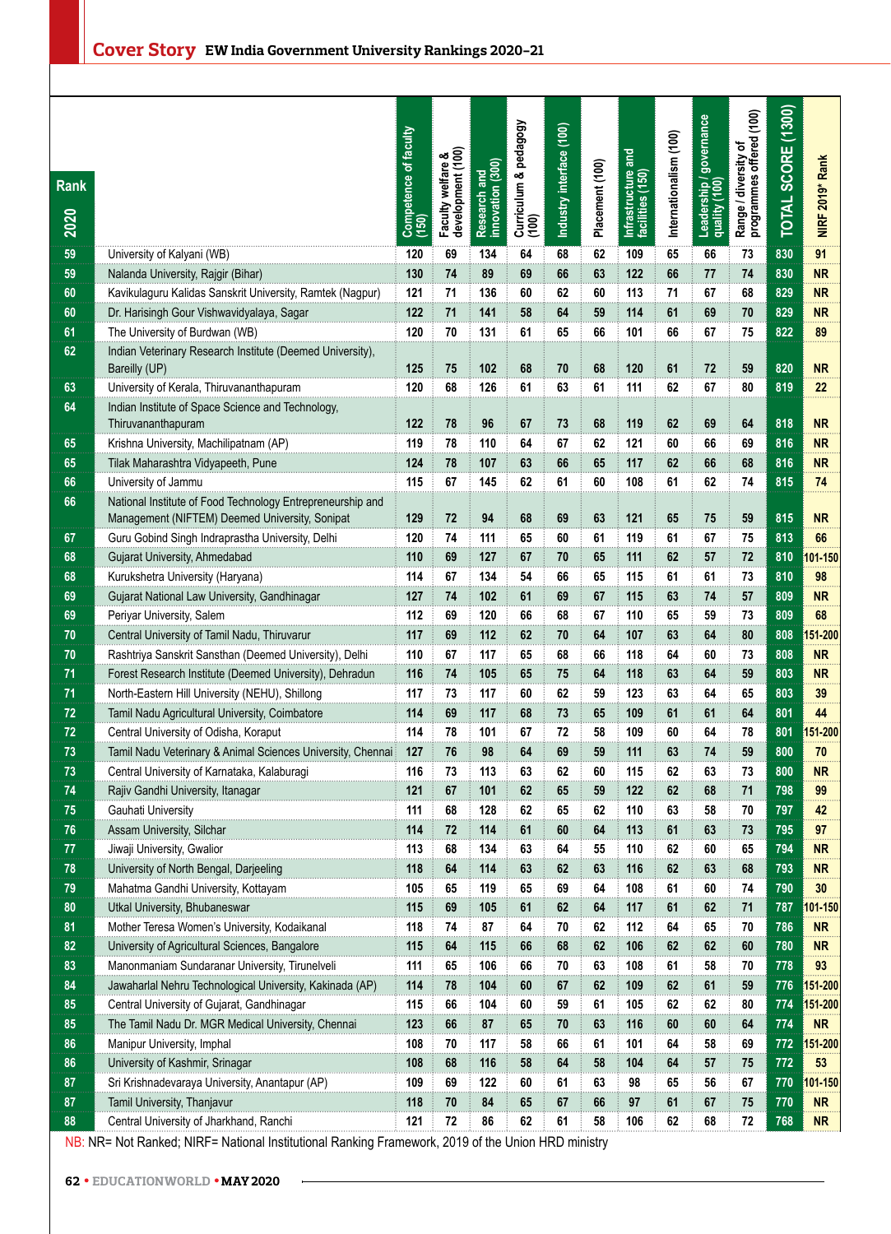| <b>Rank</b><br>2020 |                                                                                               | Competence of faculty<br>(150) | Faculty welfare &<br>development (100) | (300)<br>Research and<br>innovation (30 | Curriculum & pedagogy<br>(100) | Industry interface (100) | Placement (100) | Infrastructure and<br>facilities (150) | Internationalism (100) | governance<br>Leadership / g<br>quality (100)<br>quality | (100)<br>Range / diversity of<br>programmes offered | (1300)<br><b>TOTAL SCORE</b> | NIRF 2019* Rank |
|---------------------|-----------------------------------------------------------------------------------------------|--------------------------------|----------------------------------------|-----------------------------------------|--------------------------------|--------------------------|-----------------|----------------------------------------|------------------------|----------------------------------------------------------|-----------------------------------------------------|------------------------------|-----------------|
| 59                  | University of Kalyani (WB)                                                                    | 120                            | 69                                     | 134                                     | 64                             | 68                       | 62              | 109                                    | 65                     | 66                                                       | 73                                                  | 830                          | 91              |
| 59                  | Nalanda University, Rajgir (Bihar)                                                            | 130                            | 74                                     | 89                                      | 69                             | 66                       | 63              | 122                                    | 66                     | 77                                                       | 74                                                  | 830                          | <b>NR</b>       |
| 60                  | Kavikulaguru Kalidas Sanskrit University, Ramtek (Nagpur)                                     | 121                            | 71                                     | 136                                     | 60                             | 62                       | 60              | 113                                    | 71                     | 67                                                       | 68                                                  | 829                          | <b>NR</b>       |
| 60                  | Dr. Harisingh Gour Vishwavidyalaya, Sagar                                                     | 122                            | 71                                     | 141                                     | 58                             | 64                       | 59              | 114                                    | 61                     | 69                                                       | 70                                                  | 829                          | <b>NR</b>       |
| 61                  | The University of Burdwan (WB)                                                                | 120                            | 70                                     | 131                                     | 61                             | 65                       | 66              | 101                                    | 66                     | 67                                                       | 75                                                  | 822                          | 89              |
| 62                  | Indian Veterinary Research Institute (Deemed University),                                     |                                |                                        |                                         |                                |                          |                 |                                        |                        |                                                          |                                                     |                              |                 |
|                     | Bareilly (UP)                                                                                 | 125<br>120                     | 75                                     | 102                                     | 68                             | 70                       | 68              | 120                                    | 61                     | 72                                                       | 59                                                  | 820<br>819                   | <b>NR</b>       |
| 63<br>64            | University of Kerala, Thiruvananthapuram<br>Indian Institute of Space Science and Technology, |                                | 68                                     | 126                                     | 61                             | 63                       | 61              | 111                                    | 62                     | 67                                                       | 80                                                  |                              | 22              |
|                     | Thiruvananthapuram                                                                            | 122                            | 78                                     | 96                                      | 67                             | 73                       | 68              | 119                                    | 62                     | 69                                                       | 64                                                  | 818                          | <b>NR</b>       |
| 65                  | Krishna University, Machilipatnam (AP)                                                        | 119                            | 78                                     | 110                                     | 64                             | 67                       | 62              | 121                                    | 60                     | 66                                                       | 69                                                  | 816                          | <b>NR</b>       |
| 65                  | Tilak Maharashtra Vidyapeeth, Pune                                                            | 124                            | 78                                     | 107                                     | 63                             | 66                       | 65              | 117                                    | 62                     | 66                                                       | 68                                                  | 816                          | <b>NR</b>       |
| 66                  | University of Jammu                                                                           | 115                            | 67                                     | 145                                     | 62                             | 61                       | 60              | 108                                    | 61                     | 62                                                       | 74                                                  | 815                          | 74              |
| 66                  | National Institute of Food Technology Entrepreneurship and                                    |                                |                                        |                                         |                                |                          |                 |                                        |                        |                                                          |                                                     |                              |                 |
|                     | Management (NIFTEM) Deemed University, Sonipat                                                | 129                            | 72                                     | 94                                      | 68                             | 69                       | 63              | 121                                    | 65                     | 75                                                       | 59                                                  | 815                          | <b>NR</b>       |
| 67                  | Guru Gobind Singh Indraprastha University, Delhi                                              | 120                            | 74                                     | 111                                     | 65                             | 60                       | 61              | 119                                    | 61                     | 67                                                       | 75                                                  | 813                          | 66              |
| 68                  | Gujarat University, Ahmedabad                                                                 | 110                            | 69                                     | 127                                     | 67                             | 70                       | 65              | 111                                    | 62                     | 57                                                       | 72                                                  | 810                          | $01 - 150$      |
| 68                  | Kurukshetra University (Haryana)                                                              | 114                            | 67                                     | 134                                     | 54                             | 66                       | 65              | 115                                    | 61                     | 61                                                       | 73                                                  | 810                          | 98              |
| 69                  | Gujarat National Law University, Gandhinagar                                                  | 127                            | 74                                     | 102                                     | 61                             | 69                       | 67              | 115                                    | 63                     | 74                                                       | 57                                                  | 809                          | <b>NR</b>       |
| 69                  | Periyar University, Salem                                                                     | 112                            | 69                                     | 120                                     | 66                             | 68                       | 67              | 110                                    | 65                     | 59                                                       | 73                                                  | 809                          | 68              |
| 70                  | Central University of Tamil Nadu, Thiruvarur                                                  | 117                            | 69                                     | 112                                     | 62                             | 70                       | 64              | 107                                    | 63                     | 64                                                       | 80                                                  | 808                          | 51-200          |
| $70$                | Rashtriya Sanskrit Sansthan (Deemed University), Delhi                                        | 110                            | 67                                     | 117                                     | 65                             | 68                       | 66              | 118                                    | 64                     | 60                                                       | 73                                                  | 808                          | <b>NR</b>       |
| 71                  | Forest Research Institute (Deemed University), Dehradun                                       | 116                            | 74                                     | 105                                     | 65                             | 75                       | 64              | 118                                    | 63                     | 64                                                       | 59                                                  | 803                          | <b>NR</b>       |
| 71                  | North-Eastern Hill University (NEHU), Shillong                                                | 117                            | 73                                     | 117                                     | 60                             | 62                       | 59              | 123                                    | 63                     | 64                                                       | 65                                                  | 803                          | 39              |
| 72                  | Tamil Nadu Agricultural University, Coimbatore                                                | 114                            | 69                                     | 117                                     | 68                             | 73                       | 65              | 109                                    | 61                     | 61                                                       | 64                                                  | 801                          | 44              |
| 72                  | Central University of Odisha, Koraput                                                         | 114                            | 78                                     | 101                                     | 67                             | 72                       | 58              | 109                                    | 60                     | 64                                                       | 78                                                  | 801                          | 151-200         |
| 73                  | Tamil Nadu Veterinary & Animal Sciences University, Chennai                                   | 127                            | 76                                     | 98                                      | 64                             | 69                       | 59              | 111                                    | 63                     | 74                                                       | 59                                                  | 800                          | 70              |
| 73                  | Central University of Karnataka, Kalaburagi                                                   | 116                            | 73                                     | 113                                     | 63                             | 62                       | 60              | 115                                    | 62                     | 63                                                       | 73                                                  | 800                          | <b>NR</b>       |
| 74                  | Rajiv Gandhi University, Itanagar                                                             | 121                            | 67                                     | 101                                     | 62                             | 65                       | 59              | 122                                    | 62                     | 68                                                       | 71                                                  | 798                          | 99              |
| 75<br>76            | Gauhati University<br>Assam University, Silchar                                               | 111<br>114                     | 68<br>72                               | 128<br>114                              | 62<br>61                       | 65<br>60                 | 62<br>64        | 110<br>113                             | 63<br>61               | 58<br>63                                                 | 70<br>73                                            | 797<br>795                   | 42<br>97        |
| 77                  | Jiwaji University, Gwalior                                                                    | 113                            | 68                                     | 134                                     | 63                             | 64                       | 55              | 110                                    | 62                     | 60                                                       | 65                                                  | 794                          | <b>NR</b>       |
| 78                  | University of North Bengal, Darjeeling                                                        | 118                            | 64                                     | 114                                     | 63                             | 62                       | 63              | 116                                    | 62                     | 63                                                       | 68                                                  | 793                          | <b>NR</b>       |
| 79                  | Mahatma Gandhi University, Kottayam                                                           | 105                            | 65                                     | 119                                     | 65                             | 69                       | 64              | 108                                    | 61                     | 60                                                       | 74                                                  | 790                          | 30              |
| 80                  | Utkal University, Bhubaneswar                                                                 | 115                            | 69                                     | 105                                     | 61                             | 62                       | 64              | 117                                    | 61                     | 62                                                       | 71                                                  | 787                          | 101-150         |
| 81                  | Mother Teresa Women's University, Kodaikanal                                                  | 118                            | 74                                     | 87                                      | 64                             | 70                       | 62              | 112                                    | 64                     | 65                                                       | 70                                                  | 786                          | NR              |
| 82                  | University of Agricultural Sciences, Bangalore                                                | 115                            | 64                                     | 115                                     | 66                             | 68                       | 62              | 106                                    | 62                     | 62                                                       | 60                                                  | 780                          | NR              |
| 83                  | Manonmaniam Sundaranar University, Tirunelveli                                                | 111                            | 65                                     | 106                                     | 66                             | 70                       | 63              | 108                                    | 61                     | 58                                                       | 70                                                  | 778                          | 93              |
| 84                  | Jawaharlal Nehru Technological University, Kakinada (AP)                                      | 114                            | 78                                     | 104                                     | 60                             | 67                       | 62              | 109                                    | 62                     | 61                                                       | 59                                                  | 776                          | 51-200          |
| 85                  | Central University of Gujarat, Gandhinagar                                                    | 115                            | 66                                     | 104                                     | 60                             | 59                       | 61              | 105                                    | 62                     | 62                                                       | 80                                                  | 774                          | 151-200         |
| 85                  | The Tamil Nadu Dr. MGR Medical University, Chennai                                            | 123                            | 66                                     | 87                                      | 65                             | 70                       | 63              | 116                                    | 60                     | 60                                                       | 64                                                  | 774                          | <b>NR</b>       |
| 86                  | Manipur University, Imphal                                                                    | 108                            | 70                                     | 117                                     | 58                             | 66                       | 61              | 101                                    | 64                     | 58                                                       | 69                                                  | 772                          | 51-200          |
| 86                  | University of Kashmir, Srinagar                                                               | 108                            | 68                                     | 116                                     | 58                             | 64                       | 58              | 104                                    | 64                     | 57                                                       | 75                                                  | 772                          | 53              |
| 87                  | Sri Krishnadevaraya University, Anantapur (AP)                                                | 109                            | 69                                     | 122                                     | 60                             | 61                       | 63              | 98                                     | 65                     | 56                                                       | 67                                                  | 770                          | $01 - 150$      |
| 87                  | Tamil University, Thanjavur                                                                   | 118                            | 70                                     | 84                                      | 65                             | 67                       | 66              | 97                                     | 61                     | 67                                                       | 75                                                  | 770                          | NR.             |
| 88                  | Central University of Jharkhand, Ranchi                                                       | 121                            | 72                                     | 86                                      | 62                             | 61                       | 58              | 106                                    | 62                     | 68                                                       | 72                                                  | 768                          | NR.             |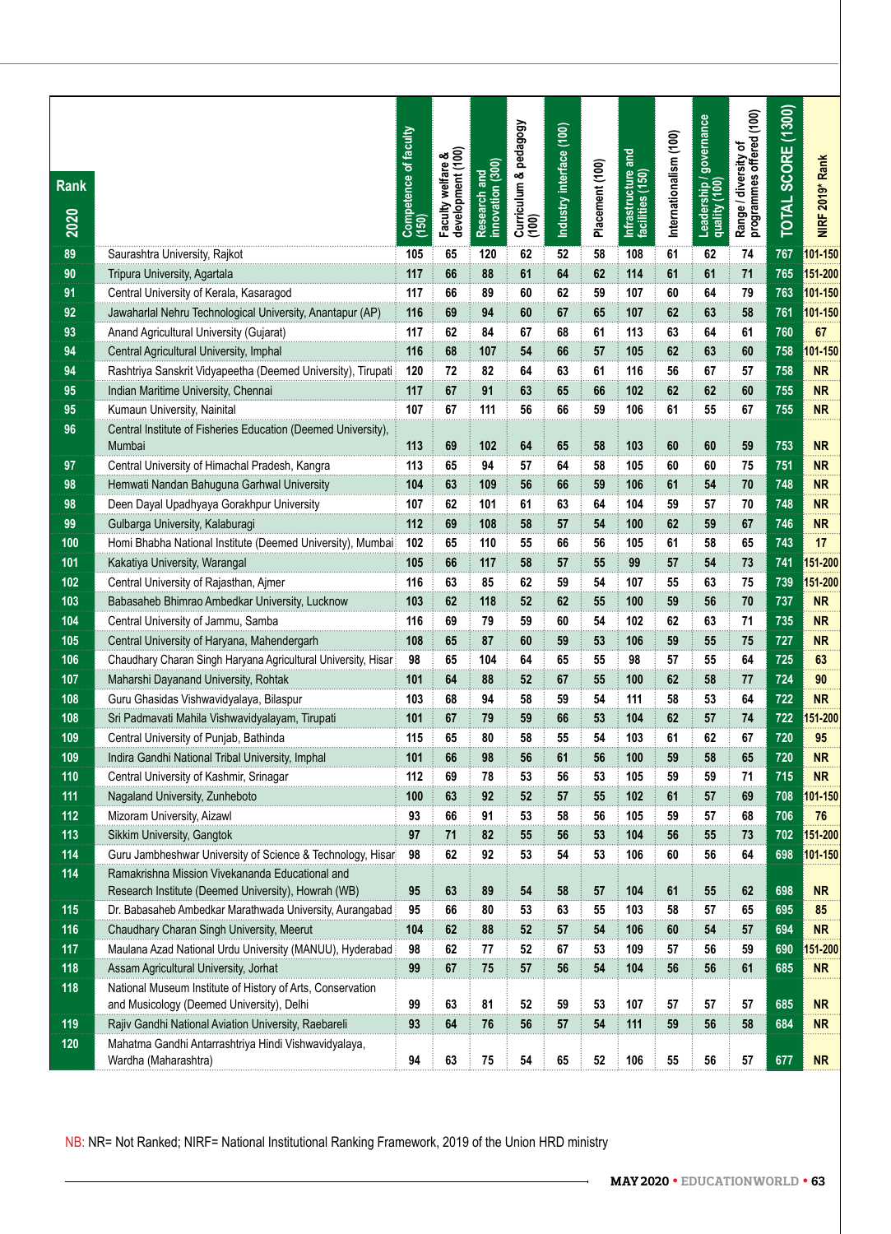| <b>Rank</b><br>2020 |                                                                                                                | Competence of faculty<br>(150) | Faculty welfare &<br>development (100) | Research and<br>innovation (300) | Curriculum & pedagogy<br>(100) | Industry interface (100) | Placement (100) | Infrastructure and<br>facilities (150) | Internationalism (100) | Leadership / governance<br>quality (100) | Range / diversity of<br>programmes offered (100) | TOTAL SCORE (1300) | NIRF 2019* Rank |
|---------------------|----------------------------------------------------------------------------------------------------------------|--------------------------------|----------------------------------------|----------------------------------|--------------------------------|--------------------------|-----------------|----------------------------------------|------------------------|------------------------------------------|--------------------------------------------------|--------------------|-----------------|
| 89                  | Saurashtra University, Rajkot                                                                                  | 105                            | 65                                     | 120                              | 62                             | 52                       | 58              | 108                                    | 61                     | 62                                       | 74                                               | 767                | 101-150         |
| 90                  | Tripura University, Agartala                                                                                   | 117                            | 66                                     | 88                               | 61                             | 64                       | 62              | 114                                    | 61                     | 61                                       | 71                                               | 765                | 151-200         |
| 91                  | Central University of Kerala, Kasaragod                                                                        | 117                            | 66                                     | 89                               | 60                             | 62                       | 59              | 107                                    | 60                     | 64                                       | 79                                               | 763                | 101-150         |
| 92                  | Jawaharlal Nehru Technological University, Anantapur (AP)                                                      | 116                            | 69                                     | 94                               | 60                             | 67                       | 65              | 107                                    | 62                     | 63                                       | 58                                               | 761                | 101-150         |
| 93                  | Anand Agricultural University (Gujarat)                                                                        | 117                            | 62                                     | 84                               | 67                             | 68                       | 61              | 113                                    | 63                     | 64                                       | 61                                               | 760                | 67              |
| 94                  | Central Agricultural University, Imphal                                                                        | 116                            | 68                                     | 107                              | 54                             | 66                       | 57              | 105                                    | 62                     | 63                                       | 60                                               | 758                | 101-150         |
| 94                  | Rashtriya Sanskrit Vidyapeetha (Deemed University), Tirupati                                                   | 120                            | 72                                     | 82                               | 64                             | 63                       | 61              | 116                                    | 56                     | 67                                       | 57                                               | 758                | <b>NR</b>       |
| 95                  | Indian Maritime University, Chennai                                                                            | 117                            | 67                                     | 91                               | 63                             | 65                       | 66              | 102                                    | 62                     | 62                                       | 60                                               | 755                | <b>NR</b>       |
| 95                  | Kumaun University, Nainital                                                                                    | 107                            | 67                                     | 111                              | 56                             | 66                       | 59              | 106                                    | 61                     | 55                                       | 67                                               | 755                | <b>NR</b>       |
| 96                  | Central Institute of Fisheries Education (Deemed University),<br>Mumbai                                        | 113                            | 69                                     | 102                              | 64                             | 65                       | 58              | 103                                    | 60                     | 60                                       | 59                                               | 753                | <b>NR</b>       |
| 97                  | Central University of Himachal Pradesh, Kangra                                                                 | 113                            | 65                                     | 94                               | 57                             | 64                       | 58              | 105                                    | 60                     | 60                                       | 75                                               | 751                | <b>NR</b>       |
| 98                  | Hemwati Nandan Bahuguna Garhwal University                                                                     | 104                            | 63                                     | 109                              | 56                             | 66                       | 59              | 106                                    | 61                     | 54                                       | 70                                               | 748                | <b>NR</b>       |
| 98                  | Deen Dayal Upadhyaya Gorakhpur University                                                                      | 107                            | 62                                     | 101                              | 61                             | 63                       | 64              | 104                                    | 59                     | 57                                       | 70                                               | 748                | <b>NR</b>       |
| 99                  | Gulbarga University, Kalaburagi                                                                                | 112                            | 69                                     | 108                              | 58                             | 57                       | 54              | 100                                    | 62                     | 59                                       | 67                                               | 746                | <b>NR</b>       |
| 100                 | Homi Bhabha National Institute (Deemed University), Mumbai                                                     | 102                            | 65                                     | 110                              | 55                             | 66                       | 56              | 105                                    | 61                     | 58                                       | 65                                               | $\overline{743}$   | 17              |
| 101                 | Kakatiya University, Warangal                                                                                  | 105                            | 66                                     | 117                              | 58                             | 57                       | 55              | 99                                     | 57                     | 54                                       | 73                                               | 741                | 151-200         |
| 102                 | Central University of Rajasthan, Ajmer                                                                         | 116                            | 63                                     | 85                               | 62                             | 59                       | 54              | 107                                    | 55                     | 63                                       | 75                                               | 739                | 151-200         |
| 103                 | Babasaheb Bhimrao Ambedkar University, Lucknow                                                                 | 103                            | 62                                     | 118                              | 52                             | 62                       | 55              | 100                                    | 59                     | 56                                       | 70                                               | 737                | <b>NR</b>       |
| 104                 | Central University of Jammu, Samba                                                                             | 116                            | 69                                     | 79                               | 59                             | 60                       | 54              | 102                                    | 62                     | 63                                       | 71                                               | 735                | <b>NR</b>       |
| 105                 | Central University of Haryana, Mahendergarh                                                                    | 108                            | 65                                     | 87                               | 60                             | 59                       | 53              | 106                                    | 59                     | 55                                       | 75                                               | 727                | <b>NR</b>       |
| 106                 | Chaudhary Charan Singh Haryana Agricultural University, Hisar                                                  | 98                             | 65                                     | 104                              | 64                             | 65                       | 55              | 98                                     | 57                     | 55                                       | 64                                               | 725                | 63              |
| 107                 | Maharshi Dayanand University, Rohtak                                                                           | 101                            | 64                                     | 88                               | 52                             | 67                       | 55              | 100                                    | 62                     | 58                                       | 77                                               | 724                | 90              |
| 108                 | Guru Ghasidas Vishwavidyalaya, Bilaspur                                                                        | 103                            | 68                                     | 94                               | 58                             | 59                       | 54              | 111                                    | 58                     | 53                                       | 64                                               | 722                | <b>NR</b>       |
| 108                 | Sri Padmavati Mahila Vishwavidyalayam, Tirupati                                                                | 101                            | 67                                     | 79                               | 59                             | 66                       | 53              | 104                                    | 62                     | 57                                       | 74                                               | 722                | 51-200          |
| 109                 | Central University of Punjab, Bathinda                                                                         | 115                            | 65                                     | 80                               | 58                             | 55                       | 54              | 103                                    | 61                     | 62                                       | 67                                               | 720                | 95              |
| 109                 | Indira Gandhi National Tribal University, Imphal                                                               | 101                            | 66                                     | 98                               | 56                             | 61                       | 56              | 100                                    | 59                     | 58                                       | 65                                               | 720                | <b>NR</b>       |
| 110                 | Central University of Kashmir, Srinagar                                                                        | 112                            | 69                                     | 78                               | 53                             | 56                       | 53              | 105                                    | 59                     | 59                                       | 71                                               | 715                | <b>NR</b>       |
| 111                 | Nagaland University, Zunheboto                                                                                 | 100                            | 63                                     | 92                               | 52                             | 57                       | 55              | 102                                    | 61                     | 57                                       | 69                                               | 708                | 101-150         |
| 112                 | Mizoram University, Aizawl                                                                                     | 93                             | 66                                     | 91                               | 53                             | 58                       | 56              | 105                                    | 59                     | 57                                       | 68                                               | 706                | 76              |
| 113                 | Sikkim University, Gangtok                                                                                     | 97                             | 71                                     | 82                               | 55                             | 56                       | 53              | 104                                    | 56                     | 55                                       | 73                                               | 702                | 151-200         |
| 114                 | Guru Jambheshwar University of Science & Technology, Hisari<br>Ramakrishna Mission Vivekananda Educational and | 98                             | 62                                     | 92                               | 53                             | 54                       | 53              | 106                                    | 60                     | 56                                       | 64                                               | 698                | 101-150         |
| 114                 | Research Institute (Deemed University), Howrah (WB)                                                            | 95                             | 63                                     | 89                               | 54                             | 58                       | 57              | 104                                    | 61                     | 55                                       | 62                                               | 698                | NR              |
| 115                 | Dr. Babasaheb Ambedkar Marathwada University, Aurangabad                                                       | 95                             | 66                                     | 80                               | 53                             | 63                       | 55              | 103                                    | 58                     | 57                                       | 65                                               | 695                | 85              |
| 116                 | Chaudhary Charan Singh University, Meerut                                                                      | 104                            | 62                                     | 88                               | 52                             | 57                       | 54              | 106                                    | 60                     | 54                                       | 57                                               | 694                | NR              |
| 117                 | Maulana Azad National Urdu University (MANUU), Hyderabad                                                       | 98                             | 62                                     | 77                               | 52                             | 67                       | 53              | 109                                    | 57                     | 56                                       | 59                                               | 690                | 51-200          |
| 118                 | Assam Agricultural University, Jorhat                                                                          | 99                             | 67                                     | 75                               | 57                             | 56                       | 54              | 104                                    | 56                     | 56                                       | 61                                               | 685                | <b>NR</b>       |
| 118                 | National Museum Institute of History of Arts, Conservation                                                     |                                |                                        |                                  |                                |                          |                 |                                        |                        |                                          |                                                  |                    |                 |
|                     | and Musicology (Deemed University), Delhi                                                                      | 99                             | 63                                     | 81                               | 52                             | 59                       | 53              | 107                                    | 57                     | 57                                       | 57                                               | 685                | <b>NR</b>       |
| 119                 | Rajiv Gandhi National Aviation University, Raebareli                                                           | 93                             | 64                                     | 76                               | 56                             | 57                       | 54              | 111                                    | 59                     | 56                                       | 58                                               | 684                | <b>NR</b>       |
| 120                 | Mahatma Gandhi Antarrashtriya Hindi Vishwavidyalaya,                                                           |                                |                                        |                                  |                                |                          |                 |                                        |                        |                                          |                                                  |                    |                 |
|                     | Wardha (Maharashtra)                                                                                           | 94                             | 63                                     | 75                               | 54                             | 65                       | 52              | 106                                    | 55                     | 56                                       | 57                                               | 677                | <b>NR</b>       |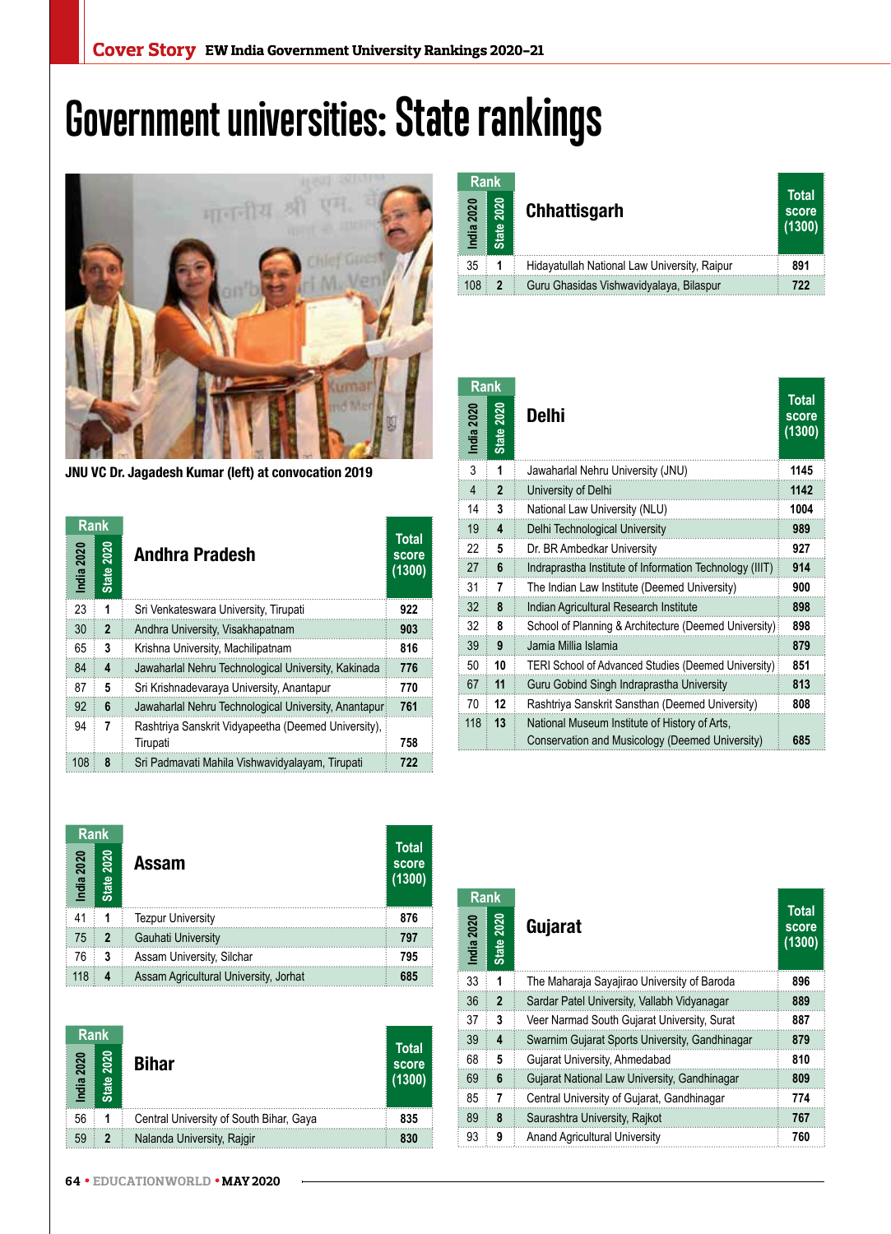## **Government universities: State rankings**



JNU VC Dr. Jagadesh Kumar (left) at convocation 2019

| <b>Rank</b> |                      |                                                                 |                                 |
|-------------|----------------------|-----------------------------------------------------------------|---------------------------------|
| India 2020  | 2020<br><b>State</b> | <b>Andhra Pradesh</b>                                           | <b>Total</b><br>score<br>(1300) |
| 23          | 1                    | Sri Venkateswara University, Tirupati                           | 922                             |
| 30          | $\overline{2}$       | Andhra University, Visakhapatnam                                | 903                             |
| 65          | 3                    | Krishna University, Machilipatnam                               | 816                             |
| 84          | 4                    | Jawaharlal Nehru Technological University, Kakinada             | 776                             |
| 87          | 5                    | Sri Krishnadevaraya University, Anantapur                       | 770                             |
| 92          | 6                    | Jawaharlal Nehru Technological University, Anantapuri           | 761                             |
| 94          | 7                    | Rashtriya Sanskrit Vidyapeetha (Deemed University).<br>Tirupati | 758                             |
| 108         | 8                    | Sri Padmavati Mahila Vishwavidyalayam, Tirupati                 | 722                             |

| <b>Rank</b><br>2020<br>India | 2020<br><b>State</b> | <b>Chhattisgarh</b>                          | <b>Total</b><br>score<br>(1300) |
|------------------------------|----------------------|----------------------------------------------|---------------------------------|
| 35                           |                      | Hidayatullah National Law University, Raipur | 891                             |
| 108                          | $\overline{2}$       | Guru Ghasidas Vishwavidyalaya, Bilaspur      | 722                             |

| Rank              |                             |                                                                                                  |                                 |
|-------------------|-----------------------------|--------------------------------------------------------------------------------------------------|---------------------------------|
| India 2020        | <b>2020</b><br><b>State</b> | <b>Delhi</b>                                                                                     | <b>Total</b><br>score<br>(1300) |
| 3                 | 1                           | Jawaharlal Nehru University (JNU)                                                                | 1145                            |
| $\overline{4}$    | 2                           | University of Delhi                                                                              | 1142                            |
| 14                | 3                           | National Law University (NLU)                                                                    | 1004                            |
| 19                | 4                           | Delhi Technological University                                                                   | 989                             |
| 22                | 5                           | Dr. BR Ambedkar University                                                                       | 927                             |
| 27                | 6                           | Indraprastha Institute of Information Technology (IIIT)                                          | 914                             |
| 31                | 7                           | The Indian Law Institute (Deemed University)                                                     | 900                             |
| 32                | 8                           | Indian Agricultural Research Institute                                                           | 898                             |
| 32                | 8                           | School of Planning & Architecture (Deemed University)                                            | 898                             |
| 39                | 9                           | Jamia Millia Islamia                                                                             | 879                             |
| 50                | 10                          | TERI School of Advanced Studies (Deemed University)                                              | 851                             |
| 67                | 11                          | Guru Gobind Singh Indraprastha University                                                        | 813                             |
| 70                | 12                          | Rashtriya Sanskrit Sansthan (Deemed University)                                                  | 808                             |
| 118               | 13                          | National Museum Institute of History of Arts.<br>Conservation and Musicology (Deemed University) | 685                             |
|                   |                             |                                                                                                  |                                 |
| Rank<br>ndia 2020 |                             | Gujarat                                                                                          | <b>Total</b><br>score<br>(1300) |

| <b>Rank</b>               |                   |                                       |                                 |
|---------------------------|-------------------|---------------------------------------|---------------------------------|
| India 2020                | <b>State 2020</b> | Assam                                 | <b>Total</b><br>score<br>(1300) |
| 41                        | 1                 | <b>Tezpur University</b>              | 876                             |
| 75                        | $\overline{2}$    | Gauhati University                    | 797                             |
| 76                        | 3                 | Assam University, Silchar             | 795                             |
| 118                       | 4                 | Assam Agricultural University, Jorhat | 685                             |
|                           |                   |                                       |                                 |
|                           |                   |                                       |                                 |
| <b>Rank</b><br>India 2020 | <b>State 2020</b> | <b>Bihar</b>                          | <b>Total</b><br>score<br>(1300) |

| <b>Rank</b> |                            |                                         | <b>Total</b>    |
|-------------|----------------------------|-----------------------------------------|-----------------|
| India 2020  | 2020<br>ഇ<br><u>ត្ត</u>    | <b>Bihar</b>                            | score<br>(1300) |
| 56          |                            | Central University of South Bihar, Gaya | 835             |
| 59          | $\boldsymbol{\mathcal{P}}$ | Nalanda University, Rajgir              | 830             |

| <b>Rank</b> |                   |                                                |                                 |
|-------------|-------------------|------------------------------------------------|---------------------------------|
| India 2020  | <b>State 2020</b> | Gujarat                                        | <b>Total</b><br>score<br>(1300) |
| 33          | 1                 | The Maharaja Sayajirao University of Baroda    | 896                             |
| 36          | $\mathbf{2}$      | Sardar Patel University, Vallabh Vidyanagar    | 889                             |
| 37          | 3                 | Veer Narmad South Gujarat University, Surat    | 887                             |
| 39          | 4                 | Swarnim Gujarat Sports University, Gandhinagar | 879                             |
| 68          | 5                 | Gujarat University, Ahmedabad                  | 810                             |
| 69          | 6                 | Gujarat National Law University, Gandhinagar   | 809                             |
| 85          | 7                 | Central University of Gujarat, Gandhinagar     | 774                             |
| 89          | 8                 | Saurashtra University, Rajkot                  | 767                             |
| 93          | 9                 | <b>Anand Agricultural University</b>           | 760                             |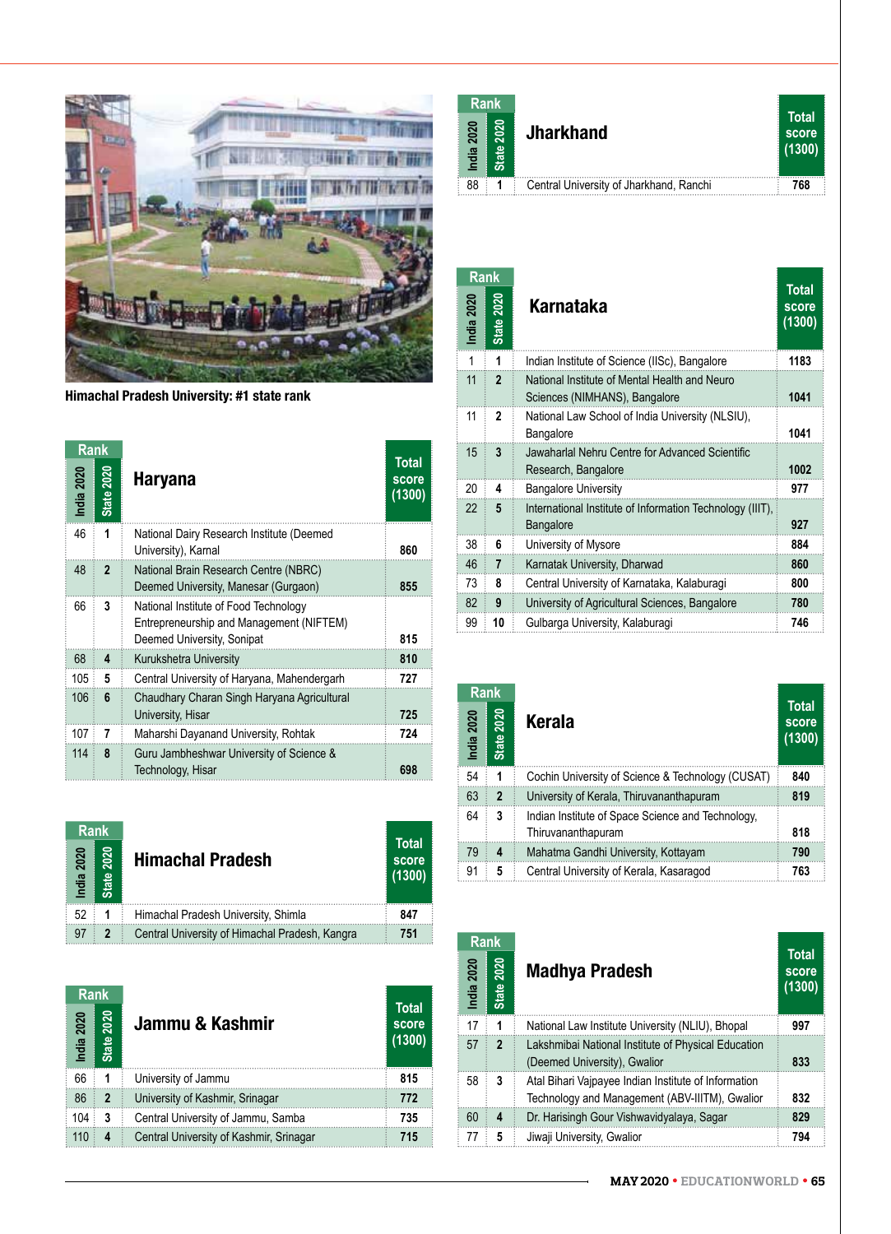

Himachal Pradesh University: #1 state rank

| Rank       |                   |                                                                                                                 |                                 |
|------------|-------------------|-----------------------------------------------------------------------------------------------------------------|---------------------------------|
| India 2020 | <b>State 2020</b> | <b>Haryana</b>                                                                                                  | <b>Total</b><br>score<br>(1300) |
| 46         | 1                 | National Dairy Research Institute (Deemed<br>University), Karnal                                                | 860                             |
| 48         | $\overline{2}$    | National Brain Research Centre (NBRC)<br>Deemed University, Manesar (Gurgaon)                                   | 855                             |
| 66         | 3                 | National Institute of Food Technology<br>Entrepreneurship and Management (NIFTEM)<br>Deemed University, Sonipat | 815                             |
| 68         | 4                 | Kurukshetra University                                                                                          | 810                             |
| 105        | 5                 | Central University of Haryana, Mahendergarh                                                                     | 727                             |
| 106        | 6                 | Chaudhary Charan Singh Haryana Agricultural<br>University, Hisar                                                | 725                             |
| 107        | 7                 | Maharshi Dayanand University, Rohtak                                                                            | 724                             |
| 114        | 8                 | Guru Jambheshwar University of Science &<br>Technology, Hisar                                                   | 698                             |

| <b>Rank</b>        |                      |                                                |                                 |
|--------------------|----------------------|------------------------------------------------|---------------------------------|
| <b>2020</b><br>dia | 2020<br><b>State</b> | <b>Himachal Pradesh</b>                        | <b>Total</b><br>score<br>(1300) |
| 52                 |                      | Himachal Pradesh University, Shimla            | 847                             |
| 97                 |                      | Central University of Himachal Pradesh, Kangra | 751                             |

| <b>Rank</b> |                |                                         |                                 |
|-------------|----------------|-----------------------------------------|---------------------------------|
| India 2020  | 2020<br>State  | Jammu & Kashmir                         | <b>Total</b><br>score<br>(1300) |
| 66          | 1              | University of Jammu                     | 815                             |
| 86          | $\overline{2}$ | University of Kashmir, Srinagar         | 772                             |
| 104         | 3              | Central University of Jammu, Samba      | 735                             |
| 110         | 4              | Central University of Kashmir, Srinagar | 715                             |

| <b>Rank</b> |               |                                         |                                 |
|-------------|---------------|-----------------------------------------|---------------------------------|
| India 2020  | 2020<br>State | <b>Jharkhand</b>                        | <b>Total</b><br>score<br>(1300) |
| 88          |               | Central University of Jharkhand, Ranchi | 768                             |
|             |               |                                         |                                 |

| <b>Rank</b> |                      |                                                                                |                                 |
|-------------|----------------------|--------------------------------------------------------------------------------|---------------------------------|
| India 2020  | 2020<br><b>State</b> | Karnataka                                                                      | <b>Total</b><br>score<br>(1300) |
| 1           | 1                    | Indian Institute of Science (IISc), Bangalore                                  | 1183                            |
| 11          | $\overline{2}$       | National Institute of Mental Health and Neuro<br>Sciences (NIMHANS), Bangalore | 1041                            |
| 11          | $\mathbf{c}$         | National Law School of India University (NLSIU),<br>Bangalore                  | 1041                            |
| 15          | 3                    | Jawaharlal Nehru Centre for Advanced Scientific<br>Research, Bangalore         | 1002                            |
| 20          | 4                    | <b>Bangalore University</b>                                                    | 977                             |
| 22          | 5                    | International Institute of Information Technology (IIIT),<br>Bangalore         | 927                             |
| 38          | 6                    | University of Mysore                                                           | 884                             |
| 46          | 7                    | Karnatak University, Dharwad                                                   | 860                             |
| 73          | 8                    | Central University of Karnataka, Kalaburagi                                    | 800                             |
| 82          | 9                    | University of Agricultural Sciences, Bangalore                                 | 780                             |
| 99          | 10                   | Gulbarga University, Kalaburagi                                                | 746                             |

| Rank                      |                   |                                                                         |                                 |  |
|---------------------------|-------------------|-------------------------------------------------------------------------|---------------------------------|--|
| India 2020                | <b>State 2020</b> | Kerala                                                                  | <b>Total</b><br>score<br>(1300) |  |
| 54                        | 1                 | Cochin University of Science & Technology (CUSAT)                       | 840                             |  |
| 63                        | $\overline{2}$    | University of Kerala, Thiruvananthapuram                                | 819                             |  |
| 64                        | 3                 | Indian Institute of Space Science and Technology,<br>Thiruvananthapuram | 818                             |  |
| 79                        | 4                 | Mahatma Gandhi University, Kottayam                                     | 790                             |  |
| 91                        | 5                 | Central University of Kerala, Kasaragod                                 | 763                             |  |
|                           |                   |                                                                         |                                 |  |
| <b>Rank</b><br>India 2020 | <b>State 2020</b> | <b>Madhya Pradesh</b>                                                   | <b>Total</b><br>score<br>(1300) |  |

| <b>Rank</b> |                      |                                                                                                        |                                 |
|-------------|----------------------|--------------------------------------------------------------------------------------------------------|---------------------------------|
| India 2020  | 2020<br><b>State</b> | <b>Madhya Pradesh</b>                                                                                  | <b>Total</b><br>score<br>(1300) |
| 17          | 1                    | National Law Institute University (NLIU), Bhopal                                                       | 997                             |
| 57          | $\overline{2}$       | Lakshmibai National Institute of Physical Education<br>(Deemed University), Gwalior                    | 833                             |
| 58          | 3                    | Atal Bihari Vajpayee Indian Institute of Information<br>Technology and Management (ABV-IIITM), Gwalior | 832                             |
| 60          | 4                    | Dr. Harisingh Gour Vishwavidyalaya, Sagar                                                              | 829                             |
| 77          | 5                    | Jiwaji University, Gwalior                                                                             | 794                             |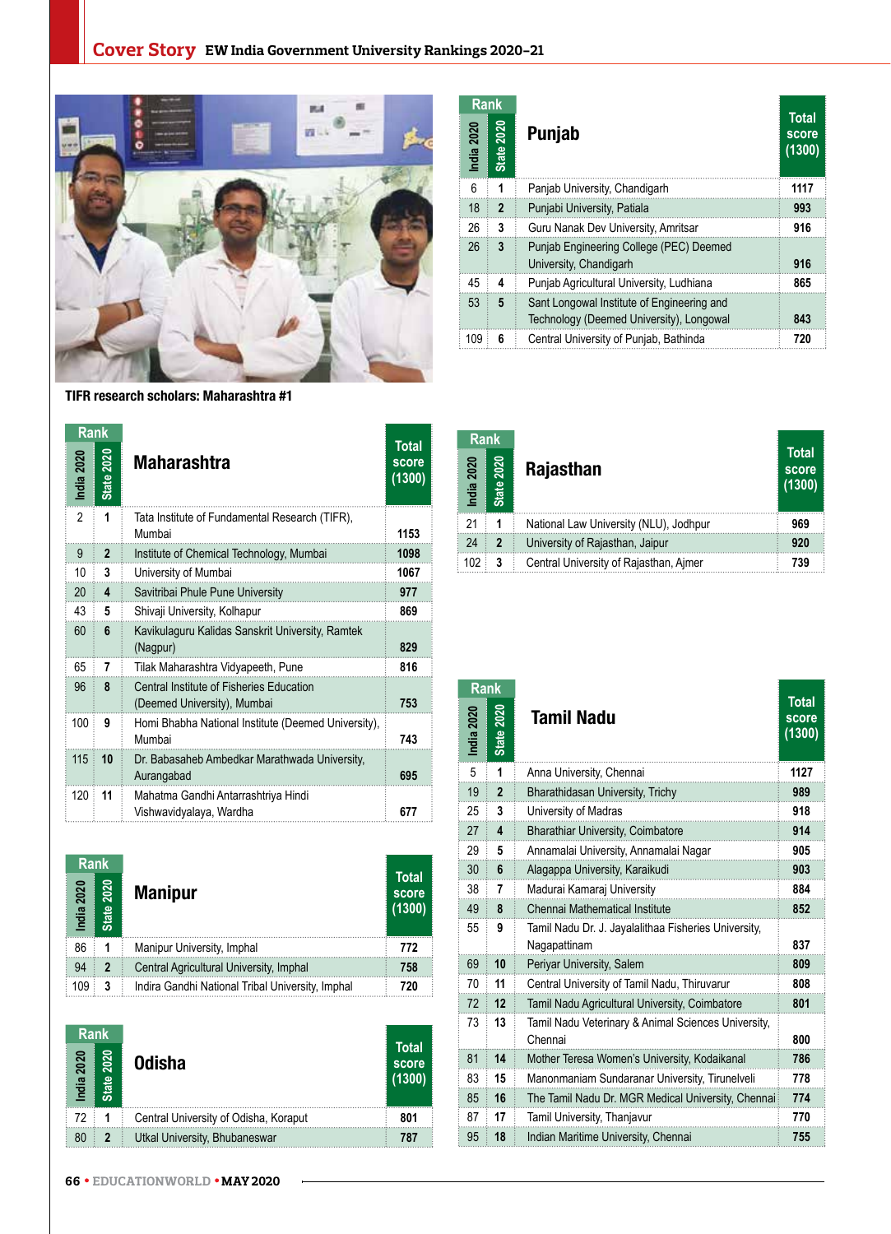

TIFR research scholars: Maharashtra #1

| Rank       |                      |                                                                         |                          |
|------------|----------------------|-------------------------------------------------------------------------|--------------------------|
| India 2020 | 2020<br><b>State</b> | Maharashtra                                                             | Total<br>score<br>(1300) |
| 2          | 1                    | Tata Institute of Fundamental Research (TIFR),<br>Mumbai                | 1153                     |
| 9          | $\mathbf{2}$         | Institute of Chemical Technology, Mumbai                                | 1098                     |
| 10         | 3                    | University of Mumbai                                                    | 1067                     |
| 20         | 4                    | Savitribai Phule Pune University                                        | 977                      |
| 43         | 5                    | Shivaji University, Kolhapur                                            | 869                      |
| 60         | 6                    | Kavikulaguru Kalidas Sanskrit University, Ramtek<br>(Nagpur)            | 829                      |
| 65         | 7                    | Tilak Maharashtra Vidyapeeth, Pune                                      | 816                      |
| 96         | 8                    | Central Institute of Fisheries Education<br>(Deemed University), Mumbai | 753                      |
| 100        | 9                    | Homi Bhabha National Institute (Deemed University),<br>Mumbai           | 743                      |
| 115        | 10                   | Dr. Babasaheb Ambedkar Marathwada University,<br>Aurangabad             | 695                      |
| 120        | 11                   | Mahatma Gandhi Antarrashtriya Hindi<br>Vishwavidyalaya, Wardha          | 677                      |

| <b>Rank</b>   |                      |                                                  |                          |
|---------------|----------------------|--------------------------------------------------|--------------------------|
| 2020<br>India | 2020<br><b>State</b> | <b>Manipur</b>                                   | Total<br>score<br>(1300) |
| 86            | 1                    | Manipur University, Imphal                       | 772                      |
| 94            | $\overline{2}$       | Central Agricultural University, Imphal          | 758                      |
| 109           | 3                    | Indira Gandhi National Tribal University, Imphal | 720                      |

| <b>Rank</b><br>2020<br>India | 2020<br>eig<br>œ٥ | <b>Odisha</b>                         | Total<br>score<br>(1300) |
|------------------------------|-------------------|---------------------------------------|--------------------------|
| 72                           |                   | Central University of Odisha, Koraput | 801                      |
| 80                           |                   | Utkal University, Bhubaneswar         | 787                      |

| Rank       |                             |                                                                                        |                                 |
|------------|-----------------------------|----------------------------------------------------------------------------------------|---------------------------------|
| India 2020 | <b>State 2020</b>           | Punjab                                                                                 | <b>Total</b><br>score<br>(1300) |
| 6          | 1                           | Panjab University, Chandigarh                                                          | 1117                            |
| 18         | $\overline{2}$              | Punjabi University, Patiala                                                            | 993                             |
| 26         | 3                           | Guru Nanak Dev University, Amritsar                                                    | 916                             |
| 26         | 3                           | Punjab Engineering College (PEC) Deemed<br>University, Chandigarh                      | 916                             |
| 45         | 4                           | Punjab Agricultural University, Ludhiana                                               | 865                             |
| 53         | 5                           | Sant Longowal Institute of Engineering and<br>Technology (Deemed University), Longowal | 843                             |
| 109        | 6                           | Central University of Punjab, Bathinda                                                 | 720                             |
| Rank       |                             |                                                                                        |                                 |
| India 2020 | <b>2020</b><br><b>State</b> | Rajasthan                                                                              | <b>Total</b><br>score<br>(1300) |
| 21         | 1                           | National Law University (NLU), Jodhpur                                                 | 969                             |
| 24         | $\overline{2}$              | University of Rajasthan, Jaipur                                                        | 920                             |
| 102        | 3                           | Central University of Rajasthan, Ajmer                                                 | 739                             |
| Rank       |                             |                                                                                        |                                 |

| <b>Rank</b> |                      |                                        |                                 |
|-------------|----------------------|----------------------------------------|---------------------------------|
| India 2020  | 2020<br><b>State</b> | Rajasthan                              | <b>Total</b><br>score<br>(1300) |
| 21          | 1                    | National Law University (NLU), Jodhpur | 969                             |
| 24          | $\mathbf{2}$         | University of Rajasthan, Jaipur        | 920                             |
| 102         | 3                    | Central University of Rajasthan, Ajmer | 739                             |

| <b>Rank</b> |                   |                                                                      |                                 |
|-------------|-------------------|----------------------------------------------------------------------|---------------------------------|
| India 2020  | <b>State 2020</b> | <b>Tamil Nadu</b>                                                    | <b>Total</b><br>score<br>(1300) |
| 5           | 1                 | Anna University, Chennai                                             | 1127                            |
| 19          | $\overline{2}$    | Bharathidasan University, Trichy                                     | 989                             |
| 25          | 3                 | University of Madras                                                 | 918                             |
| 27          | 4                 | <b>Bharathiar University, Coimbatore</b>                             | 914                             |
| 29          | 5                 | Annamalai University, Annamalai Nagar                                | 905                             |
| 30          | 6                 | Alagappa University, Karaikudi                                       | 903                             |
| 38          | 7                 | Madurai Kamaraj University                                           | 884                             |
| 49          | 8                 | Chennai Mathematical Institute                                       | 852                             |
| 55          | 9                 | Tamil Nadu Dr. J. Jayalalithaa Fisheries University,<br>Nagapattinam | 837                             |
| 69          | 10                | Periyar University, Salem                                            | 809                             |
| 70          | 11                | Central University of Tamil Nadu, Thiruvarur                         | 808                             |
| 72          | 12                | Tamil Nadu Agricultural University, Coimbatore                       | 801                             |
| 73          | 13                | Tamil Nadu Veterinary & Animal Sciences University,<br>Chennai       | 800                             |
| 81          | 14                | Mother Teresa Women's University, Kodaikanal                         | 786                             |
| 83          | 15                | Manonmaniam Sundaranar University, Tirunelveli                       | 778                             |
| 85          | 16                | The Tamil Nadu Dr. MGR Medical University, Chennai                   | 774                             |
| 87          | 17                | Tamil University, Thanjavur                                          | 770                             |
| 95          | 18                | Indian Maritime University, Chennai                                  | 755                             |